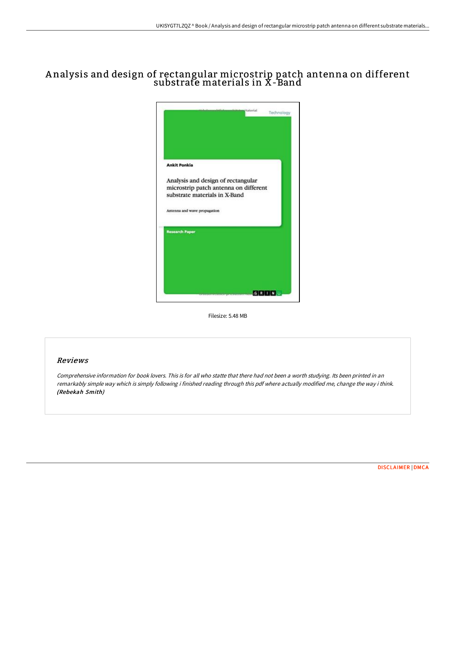# A nalysis and design of rectangular microstrip patch antenna on different substrate materials in X-Band



Filesize: 5.48 MB

### Reviews

Comprehensive information for book lovers. This is for all who statte that there had not been <sup>a</sup> worth studying. Its been printed in an remarkably simple way which is simply following i finished reading through this pdf where actually modified me, change the way i think. (Rebekah Smith)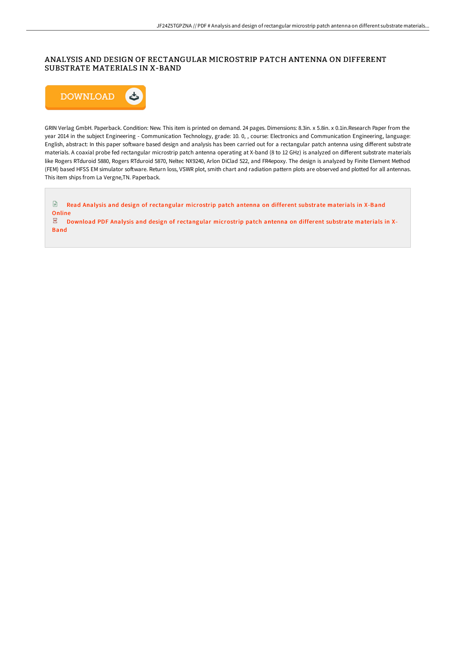## ANALYSIS AND DESIGN OF RECTANGULAR MICROSTRIP PATCH ANTENNA ON DIFFERENT SUBSTRATE MATERIALS IN X-BAND



GRIN Verlag GmbH. Paperback. Condition: New. This item is printed on demand. 24 pages. Dimensions: 8.3in. x 5.8in. x 0.1in.Research Paper from the year 2014 in the subject Engineering - Communication Technology, grade: 10. 0, , course: Electronics and Communication Engineering, language: English, abstract: In this paper software based design and analysis has been carried out for a rectangular patch antenna using different substrate materials. A coaxial probe fed rectangular microstrip patch antenna operating at X-band (8 to 12 GHz) is analyzed on different substrate materials like Rogers RTduroid 5880, Rogers RTduroid 5870, Neltec NX9240, Arlon DiClad 522, and FR4epoxy. The design is analyzed by Finite Element Method (FEM) based HFSS EM simulator software. Return loss, VSWR plot, smith chart and radiation pattern plots are observed and plotted for all antennas. This item ships from La Vergne,TN. Paperback.

 $\mathbf{E}$ Read Analysis and design of [rectangular](http://digilib.live/analysis-and-design-of-rectangular-microstrip-pa.html) microstrip patch antenna on different substrate materials in X-Band Online

 $PDF$ Download PDF Analysis and design of [rectangular](http://digilib.live/analysis-and-design-of-rectangular-microstrip-pa.html) microstrip patch antenna on different substrate materials in X-Band